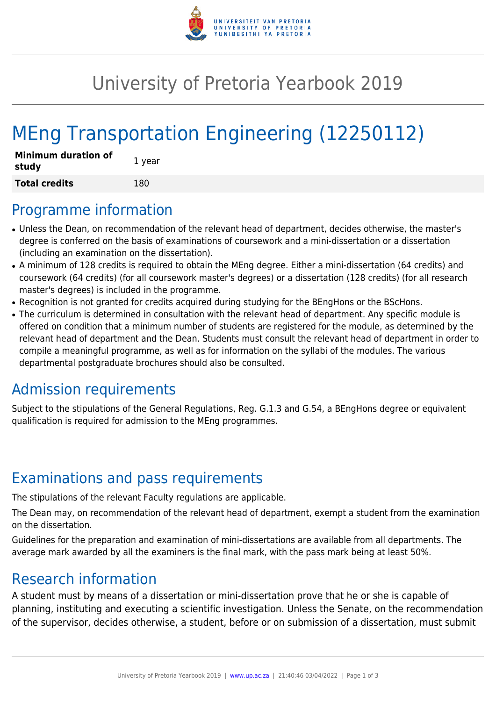

## University of Pretoria Yearbook 2019

# MEng Transportation Engineering (12250112)

| <b>Minimum duration of</b><br>study | 1 year |
|-------------------------------------|--------|
| <b>Total credits</b>                | 180    |

#### Programme information

- Unless the Dean, on recommendation of the relevant head of department, decides otherwise, the master's degree is conferred on the basis of examinations of coursework and a mini-dissertation or a dissertation (including an examination on the dissertation).
- A minimum of 128 credits is required to obtain the MEng degree. Either a mini-dissertation (64 credits) and coursework (64 credits) (for all coursework master's degrees) or a dissertation (128 credits) (for all research master's degrees) is included in the programme.
- Recognition is not granted for credits acquired during studying for the BEngHons or the BScHons.
- The curriculum is determined in consultation with the relevant head of department. Any specific module is offered on condition that a minimum number of students are registered for the module, as determined by the relevant head of department and the Dean. Students must consult the relevant head of department in order to compile a meaningful programme, as well as for information on the syllabi of the modules. The various departmental postgraduate brochures should also be consulted.

#### Admission requirements

Subject to the stipulations of the General Regulations, Reg. G.1.3 and G.54, a BEngHons degree or equivalent qualification is required for admission to the MEng programmes.

#### Examinations and pass requirements

The stipulations of the relevant Faculty regulations are applicable.

The Dean may, on recommendation of the relevant head of department, exempt a student from the examination on the dissertation.

Guidelines for the preparation and examination of mini-dissertations are available from all departments. The average mark awarded by all the examiners is the final mark, with the pass mark being at least 50%.

#### Research information

A student must by means of a dissertation or mini-dissertation prove that he or she is capable of planning, instituting and executing a scientific investigation. Unless the Senate, on the recommendation of the supervisor, decides otherwise, a student, before or on submission of a dissertation, must submit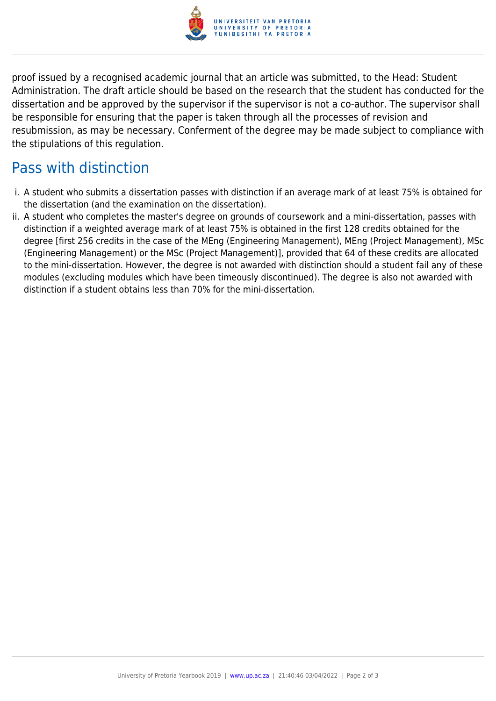

proof issued by a recognised academic journal that an article was submitted, to the Head: Student Administration. The draft article should be based on the research that the student has conducted for the dissertation and be approved by the supervisor if the supervisor is not a co-author. The supervisor shall be responsible for ensuring that the paper is taken through all the processes of revision and resubmission, as may be necessary. Conferment of the degree may be made subject to compliance with the stipulations of this regulation.

### Pass with distinction

- i. A student who submits a dissertation passes with distinction if an average mark of at least 75% is obtained for the dissertation (and the examination on the dissertation).
- ii. A student who completes the master's degree on grounds of coursework and a mini-dissertation, passes with distinction if a weighted average mark of at least 75% is obtained in the first 128 credits obtained for the degree [first 256 credits in the case of the MEng (Engineering Management), MEng (Project Management), MSc (Engineering Management) or the MSc (Project Management)], provided that 64 of these credits are allocated to the mini-dissertation. However, the degree is not awarded with distinction should a student fail any of these modules (excluding modules which have been timeously discontinued). The degree is also not awarded with distinction if a student obtains less than 70% for the mini-dissertation.